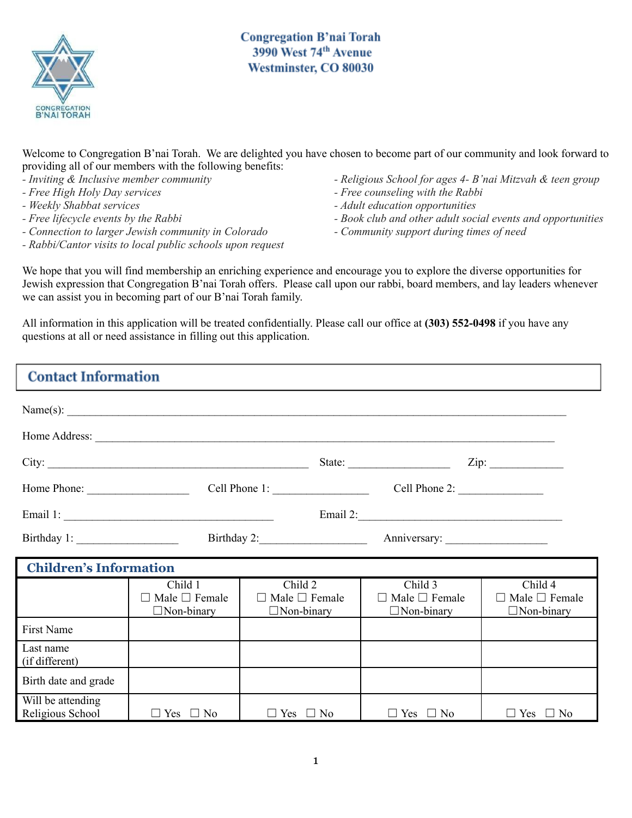

**Congregation B'nai Torah** 3990 West 74th Avenue Westminster, CO 80030

Welcome to Congregation B'nai Torah. We are delighted you have chosen to become part of our community and look forward to providing all of our members with the following benefits:

- *- Inviting & Inclusive member community*
- *- Free High Holy Day services*
- *- Weekly Shabbat services*
- *- Free lifecycle events by the Rabbi*
- *- Connection to larger Jewish community in Colorado*
- *- Rabbi/Cantor visits to local public schools upon request*
- *- Religious School for ages 4- B'nai Mitzvah & teen group*
- *- Free counseling with the Rabbi*
- *- Adult education opportunities*
- *- Book club and other adult social events and opportunities*
- *- Community support during times of need*

We hope that you will find membership an enriching experience and encourage you to explore the diverse opportunities for Jewish expression that Congregation B'nai Torah offers. Please call upon our rabbi, board members, and lay leaders whenever we can assist you in becoming part of our B'nai Torah family.

All information in this application will be treated confidentially. Please call our office at **(303) 552-0498** if you have any questions at all or need assistance in filling out this application.

| <b>Contact Information</b>            |                                                    |                                                           |                                                                                                                                                                                                                                                                                                                                                                                                                                                   |                                                           |
|---------------------------------------|----------------------------------------------------|-----------------------------------------------------------|---------------------------------------------------------------------------------------------------------------------------------------------------------------------------------------------------------------------------------------------------------------------------------------------------------------------------------------------------------------------------------------------------------------------------------------------------|-----------------------------------------------------------|
|                                       |                                                    |                                                           |                                                                                                                                                                                                                                                                                                                                                                                                                                                   |                                                           |
|                                       |                                                    |                                                           |                                                                                                                                                                                                                                                                                                                                                                                                                                                   |                                                           |
|                                       | City:                                              |                                                           | State: $\frac{1}{\sqrt{1-\frac{1}{2}} \cdot \frac{1}{2} \cdot \frac{1}{2} \cdot \frac{1}{2} \cdot \frac{1}{2} \cdot \frac{1}{2} \cdot \frac{1}{2} \cdot \frac{1}{2} \cdot \frac{1}{2} \cdot \frac{1}{2} \cdot \frac{1}{2} \cdot \frac{1}{2} \cdot \frac{1}{2} \cdot \frac{1}{2} \cdot \frac{1}{2} \cdot \frac{1}{2} \cdot \frac{1}{2} \cdot \frac{1}{2} \cdot \frac{1}{2} \cdot \frac{1}{2} \cdot \frac{1}{2} \cdot \frac{1}{2} \cdot \frac{1}{2$ |                                                           |
|                                       |                                                    |                                                           | Cell Phone 2: $\frac{2}{2}$                                                                                                                                                                                                                                                                                                                                                                                                                       |                                                           |
|                                       |                                                    |                                                           |                                                                                                                                                                                                                                                                                                                                                                                                                                                   |                                                           |
| Birthday 1:                           | Birthday 2:                                        |                                                           |                                                                                                                                                                                                                                                                                                                                                                                                                                                   |                                                           |
| <b>Children's Information</b>         |                                                    |                                                           |                                                                                                                                                                                                                                                                                                                                                                                                                                                   |                                                           |
|                                       | Child 1<br>Male $\Box$ Female<br>$\Box$ Non-binary | Child 2<br>$\Box$ Male $\Box$ Female<br>$\Box$ Non-binary | Child 3<br>$\Box$ Male $\Box$ Female<br>$\Box$ Non-binary                                                                                                                                                                                                                                                                                                                                                                                         | Child 4<br>$\Box$ Male $\Box$ Female<br>$\Box$ Non-binary |
| <b>First Name</b>                     |                                                    |                                                           |                                                                                                                                                                                                                                                                                                                                                                                                                                                   |                                                           |
| Last name<br>(if different)           |                                                    |                                                           |                                                                                                                                                                                                                                                                                                                                                                                                                                                   |                                                           |
| Birth date and grade                  |                                                    |                                                           |                                                                                                                                                                                                                                                                                                                                                                                                                                                   |                                                           |
| Will be attending<br>Religious School | $\Box$ Yes $\Box$ No                               | $\Box$ Yes<br>$\Box$ No                                   | $\Box$ Yes $\Box$ No                                                                                                                                                                                                                                                                                                                                                                                                                              | $\Box$ Yes $\Box$ No                                      |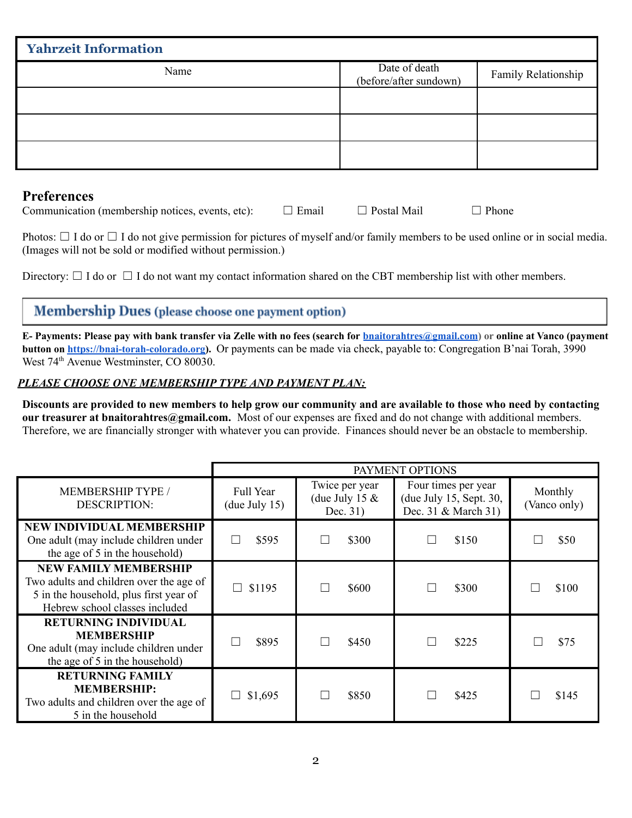| <b>Yahrzeit Information</b> |                                         |                     |
|-----------------------------|-----------------------------------------|---------------------|
| Name                        | Date of death<br>(before/after sundown) | Family Relationship |
|                             |                                         |                     |
|                             |                                         |                     |
|                             |                                         |                     |

## **Preferences**

Communication (membership notices, events, etc):  $\Box$  Email  $\Box$  Postal Mail  $\Box$  Phone

Photos:  $\Box$  I do or  $\Box$  I do not give permission for pictures of myself and/or family members to be used online or in social media. (Images will not be sold or modified without permission.)

Directory:  $\Box$  I do or  $\Box$  I do not want my contact information shared on the CBT membership list with other members.

## **Membership Dues** (please choose one payment option)

E- Payments: Please pay with bank transfer via Zelle with no fees (search for [bnaitorahtres@gmail.com](mailto:bnaitorahtres@gmail.com)) or online at Vanco (payment **button on [https://bnai-torah-colorado.org\)](https://bnai-torah-colorado.org).** Or payments can be made via check, payable to: Congregation B'nai Torah, 3990 West 74<sup>th</sup> Avenue Westminster, CO 80030.

## *PLEASE CHOOSE ONE MEMBERSHIP TYPE AND PAYMENT PLAN:*

Discounts are provided to new members to help grow our community and are available to those who need by contacting **our treasurer at bnaitorahtres@gmail.com.** Most of our expenses are fixed and do not change with additional members. Therefore, we are financially stronger with whatever you can provide. Finances should never be an obstacle to membership.

|                                                                                                                                                     | PAYMENT OPTIONS               |                                                |                                                                       |                         |
|-----------------------------------------------------------------------------------------------------------------------------------------------------|-------------------------------|------------------------------------------------|-----------------------------------------------------------------------|-------------------------|
| <b>MEMBERSHIP TYPE /</b><br><b>DESCRIPTION:</b>                                                                                                     | Full Year<br>$($ due July 15) | Twice per year<br>(due July 15 $&$<br>Dec. 31) | Four times per year<br>(due July 15, Sept. 30,<br>Dec. 31 & March 31) | Monthly<br>(Vanco only) |
| <b>NEW INDIVIDUAL MEMBERSHIP</b><br>One adult (may include children under<br>the age of 5 in the household)                                         | \$595                         | \$300                                          | \$150                                                                 | \$50                    |
| <b>NEW FAMILY MEMBERSHIP</b><br>Two adults and children over the age of<br>5 in the household, plus first year of<br>Hebrew school classes included | \$1195                        | \$600                                          | \$300                                                                 | \$100                   |
| <b>RETURNING INDIVIDUAL</b><br><b>MEMBERSHIP</b><br>One adult (may include children under<br>the age of 5 in the household)                         | \$895                         | \$450                                          | \$225                                                                 | \$75                    |
| <b>RETURNING FAMILY</b><br><b>MEMBERSHIP:</b><br>Two adults and children over the age of<br>5 in the household                                      | \$1,695                       | \$850                                          | \$425                                                                 | \$145                   |